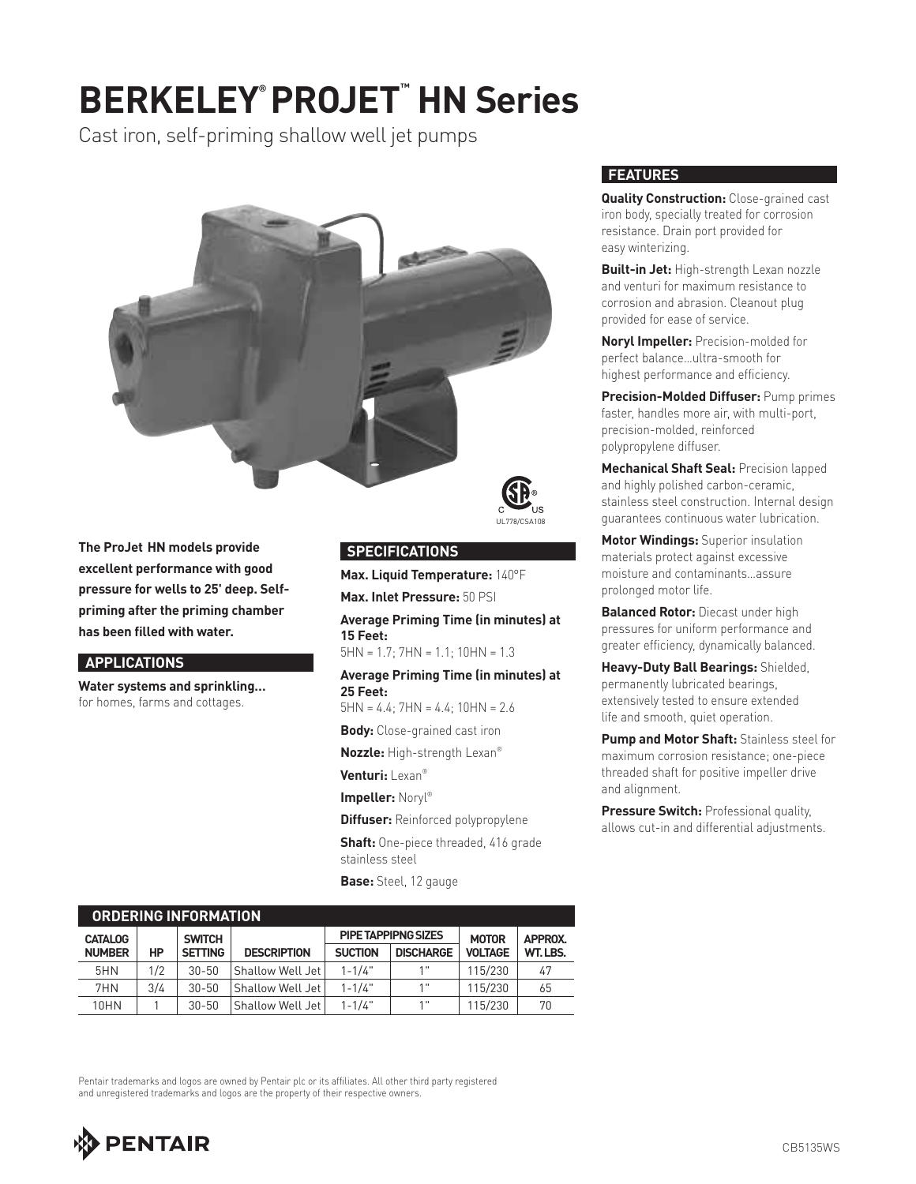# **BERKELEY® PROJET™ HN Series**

Cast iron, self-priming shallow well jet pumps



**The ProJet HN models provide excellent performance with good pressure for wells to 25' deep. Selfpriming after the priming chamber has been filled with water.**

#### **APPLICATIONS**

**Water systems and sprinkling…** for homes, farms and cottages.



#### **SPECIFICATIONS**

**Max. Liquid Temperature:** 140°F

**Max. Inlet Pressure:** 50 PSI

**Average Priming Time (in minutes) at 15 Feet:**

 $5HN = 1.7: 7HN = 1.1: 10HN = 1.3$ 

**Average Priming Time (in minutes) at 25 Feet:**

 $5HN = 4.4$ ;  $7HN = 4.4$ ;  $10HN = 2.6$ 

**Body:** Close-grained cast iron

**Nozzle:** High-strength Lexan®

**Venturi:** Lexan®

**Impeller:** Noryl®

**Diffuser:** Reinforced polypropylene

**Shaft:** One-piece threaded, 416 grade stainless steel

**Base:** Steel, 12 gauge

#### **FEATURES**

**Quality Construction:** Close-grained cast iron body, specially treated for corrosion resistance. Drain port provided for easy winterizing.

**Built-in Jet:** High-strength Lexan nozzle and venturi for maximum resistance to corrosion and abrasion. Cleanout plug provided for ease of service.

**Noryl Impeller:** Precision-molded for perfect balance…ultra-smooth for highest performance and efficiency.

**Precision-Molded Diffuser:** Pump primes faster, handles more air, with multi-port, precision-molded, reinforced polypropylene diffuser.

**Mechanical Shaft Seal:** Precision lapped and highly polished carbon-ceramic, stainless steel construction. Internal design guarantees continuous water lubrication.

**Motor Windings:** Superior insulation materials protect against excessive moisture and contaminants…assure prolonged motor life.

**Balanced Rotor:** Diecast under high pressures for uniform performance and greater efficiency, dynamically balanced.

**Heavy-Duty Ball Bearings:** Shielded, permanently lubricated bearings, extensively tested to ensure extended life and smooth, quiet operation.

**Pump and Motor Shaft:** Stainless steel for maximum corrosion resistance; one-piece threaded shaft for positive impeller drive and alignment.

**Pressure Switch: Professional quality,** allows cut-in and differential adjustments.

| <b>ORDERING INFORMATION</b> |     |                |                    |                |                            |                |                |
|-----------------------------|-----|----------------|--------------------|----------------|----------------------------|----------------|----------------|
| <b>CATALOG</b>              |     | <b>SWITCH</b>  |                    |                | <b>PIPE TAPPIPNG SIZES</b> | <b>MOTOR</b>   | <b>APPROX.</b> |
| <b>NUMBER</b>               | HP  | <b>SETTING</b> | <b>DESCRIPTION</b> | <b>SUCTION</b> | <b>DISCHARGE</b>           | <b>VOLTAGE</b> | WT.LBS.        |
| 5HN                         | 1/2 | $30 - 50$      | Shallow Well Jet   | $1 - 1/4"$     | 1"                         | 115/230        | 47             |
| 7HN                         | 3/4 | $30 - 50$      | Shallow Well Jet   | $1 - 1/4"$     | 1"                         | 115/230        | 65             |
| 10HN                        |     | $30 - 50$      | Shallow Well Jet   | $1 - 1/4"$     | 1"                         | 115/230        | 70             |

Pentair trademarks and logos are owned by Pentair plc or its affiliates. All other third party registered and unregistered trademarks and logos are the property of their respective owners.

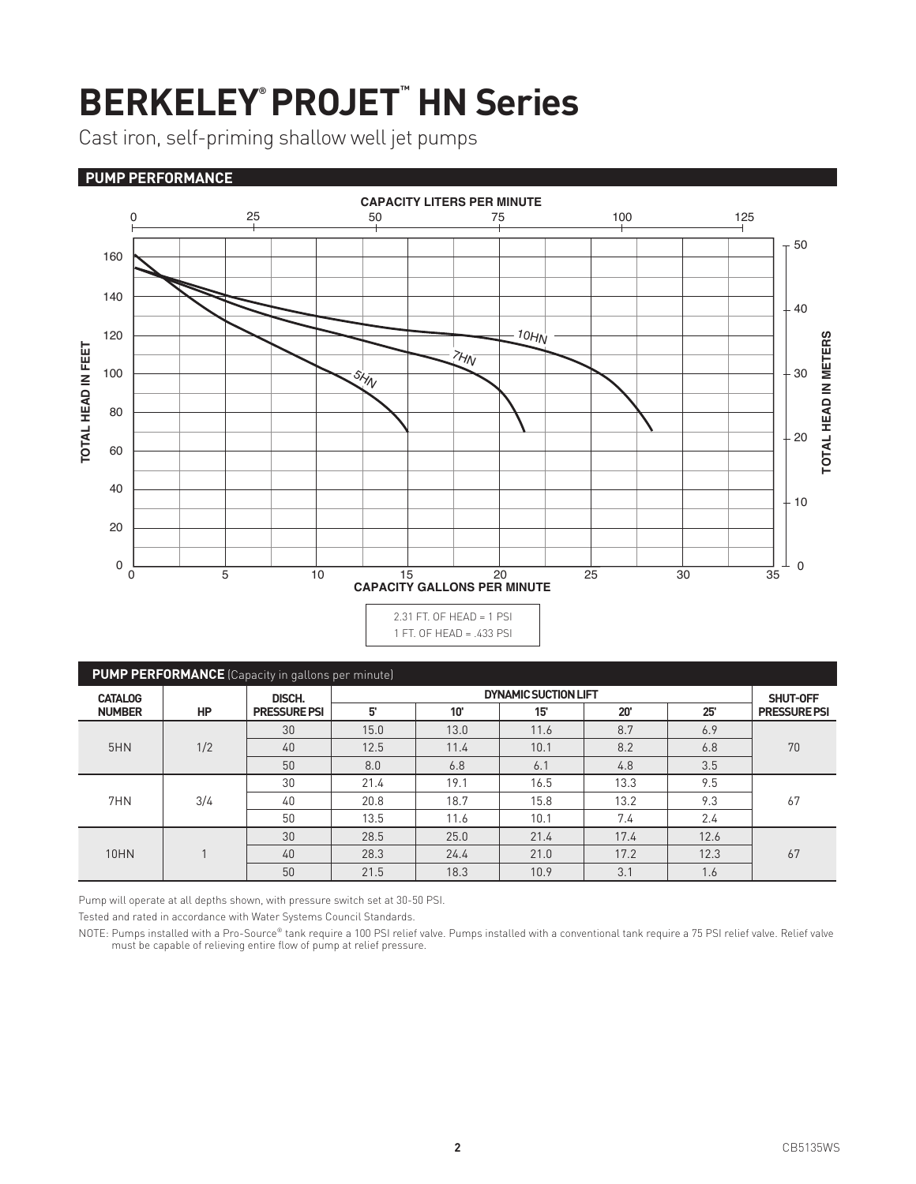# **BERKELEY® PROJET™ HN Series**

Cast iron, self-priming shallow well jet pumps

### **PUMP PERFORMANCE**



| <b>PUMP PERFORMANCE</b> (Capacity in gallons per minute) |           |                     |                             |      |      |      |      |                     |
|----------------------------------------------------------|-----------|---------------------|-----------------------------|------|------|------|------|---------------------|
| <b>CATALOG</b>                                           |           | DISCH.              | <b>DYNAMIC SUCTION LIFT</b> |      |      |      |      | SHUT-OFF            |
| <b>NUMBER</b>                                            | <b>HP</b> | <b>PRESSURE PSI</b> | 5'                          | 10'  | 15'  | 20'  | 25'  | <b>PRESSURE PSI</b> |
| 5HN                                                      | 1/2       | 30                  | 15.0                        | 13.0 | 11.6 | 8.7  | 6.9  | 70                  |
|                                                          |           | 40                  | 12.5                        | 11.4 | 10.1 | 8.2  | 6.8  |                     |
|                                                          |           | 50                  | 8.0                         | 6.8  | 6.1  | 4.8  | 3.5  |                     |
| 7HN                                                      | 3/4       | 30                  | 21.4                        | 19.1 | 16.5 | 13.3 | 9.5  | 67                  |
|                                                          |           | 40                  | 20.8                        | 18.7 | 15.8 | 13.2 | 9.3  |                     |
|                                                          |           | 50                  | 13.5                        | 11.6 | 10.1 | 7.4  | 2.4  |                     |
| <b>10HN</b>                                              |           | 30                  | 28.5                        | 25.0 | 21.4 | 17.4 | 12.6 | 67                  |
|                                                          |           | 40                  | 28.3                        | 24.4 | 21.0 | 17.2 | 12.3 |                     |
|                                                          |           | 50                  | 21.5                        | 18.3 | 10.9 | 3.1  | 1.6  |                     |

Pump will operate at all depths shown, with pressure switch set at 30-50 PSI.

Tested and rated in accordance with Water Systems Council Standards.

NOTE: Pumps installed with a Pro-Source® tank require a 100 PSI relief valve. Pumps installed with a conventional tank require a 75 PSI relief valve. Relief valve<br>must be capable of relieving entire flow of pump at relief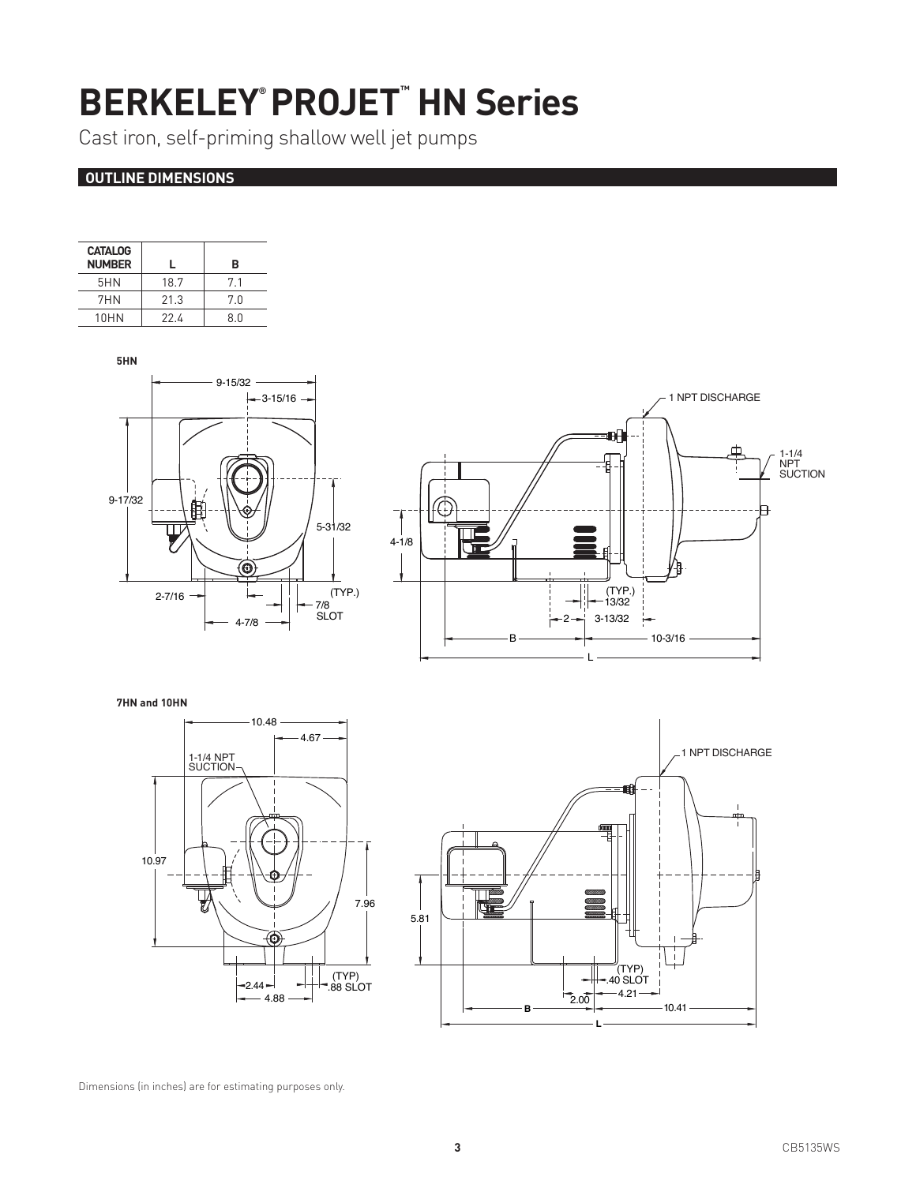## **BERKELEY® PROJET™ HN Series**

Cast iron, self-priming shallow well jet pumps

### **OUTLINE DIMENSIONS**

| <b>CATALOG</b> |      |     |
|----------------|------|-----|
| <b>NUMBER</b>  |      | в   |
| 5HN            | 18.7 | 71  |
| 7HN            | 213  | 70  |
| 10HN           | 224  | 8 N |





**7HN and 10HN** 





Dimensions (in inches) are for estimating purposes only.